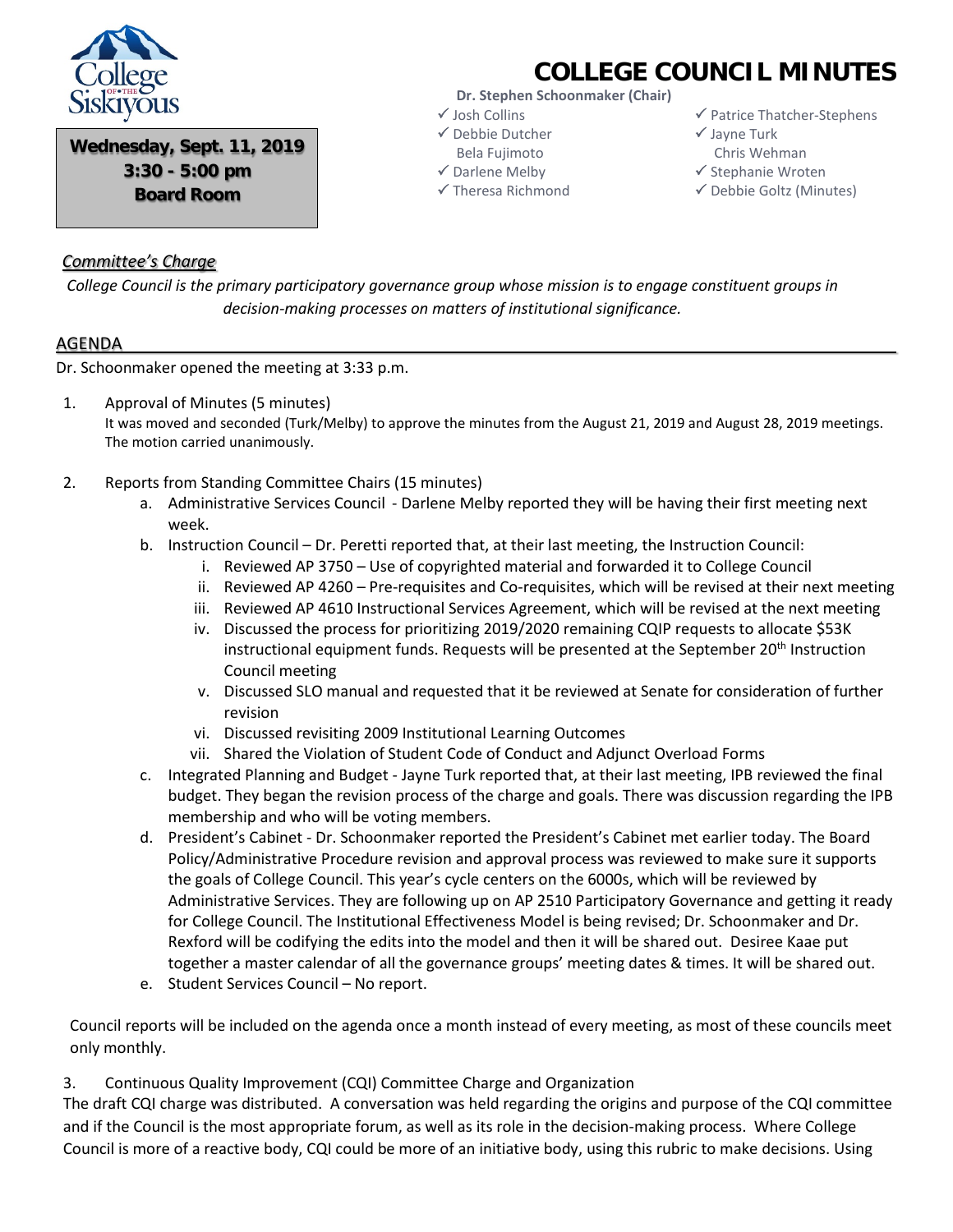

**COLLEGE COUNCIL MINUTES**

**Wednesday, Sept. 11, 2019 3:30 - 5:00 pm Board Room**

# **Dr. Stephen Schoonmaker (Chair)**

- Josh Collins Debbie Dutcher
- Bela Fujimoto
- Darlene Melby Theresa Richmond
- $\checkmark$  Patrice Thatcher-Stephens
- $\checkmark$  Jayne Turk Chris Wehman
- $\checkmark$  Stephanie Wroten
- Debbie Goltz (Minutes)

### *Committee's Charge*

*College Council is the primary participatory governance group whose mission is to engage constituent groups in decision-making processes on matters of institutional significance.*

#### AGENDA

Dr. Schoonmaker opened the meeting at 3:33 p.m.

- 1. Approval of Minutes (5 minutes) It was moved and seconded (Turk/Melby) to approve the minutes from the August 21, 2019 and August 28, 2019 meetings. The motion carried unanimously.
- 2. Reports from Standing Committee Chairs (15 minutes)
	- a. Administrative Services Council Darlene Melby reported they will be having their first meeting next week.
	- b. Instruction Council Dr. Peretti reported that, at their last meeting, the Instruction Council:
		- i. Reviewed AP 3750 Use of copyrighted material and forwarded it to College Council
		- ii. Reviewed AP 4260 Pre-requisites and Co-requisites, which will be revised at their next meeting
		- iii. Reviewed AP 4610 Instructional Services Agreement, which will be revised at the next meeting
		- iv. Discussed the process for prioritizing 2019/2020 remaining CQIP requests to allocate \$53K instructional equipment funds. Requests will be presented at the September 20<sup>th</sup> Instruction Council meeting
		- v. Discussed SLO manual and requested that it be reviewed at Senate for consideration of further revision
		- vi. Discussed revisiting 2009 Institutional Learning Outcomes
		- vii. Shared the Violation of Student Code of Conduct and Adjunct Overload Forms
	- c. Integrated Planning and Budget Jayne Turk reported that, at their last meeting, IPB reviewed the final budget. They began the revision process of the charge and goals. There was discussion regarding the IPB membership and who will be voting members.
	- d. President's Cabinet Dr. Schoonmaker reported the President's Cabinet met earlier today. The Board Policy/Administrative Procedure revision and approval process was reviewed to make sure it supports the goals of College Council. This year's cycle centers on the 6000s, which will be reviewed by Administrative Services. They are following up on AP 2510 Participatory Governance and getting it ready for College Council. The Institutional Effectiveness Model is being revised; Dr. Schoonmaker and Dr. Rexford will be codifying the edits into the model and then it will be shared out. Desiree Kaae put together a master calendar of all the governance groups' meeting dates & times. It will be shared out.
	- e. Student Services Council No report.

Council reports will be included on the agenda once a month instead of every meeting, as most of these councils meet only monthly.

3. Continuous Quality Improvement (CQI) Committee Charge and Organization

The draft CQI charge was distributed. A conversation was held regarding the origins and purpose of the CQI committee and if the Council is the most appropriate forum, as well as its role in the decision-making process. Where College Council is more of a reactive body, CQI could be more of an initiative body, using this rubric to make decisions. Using